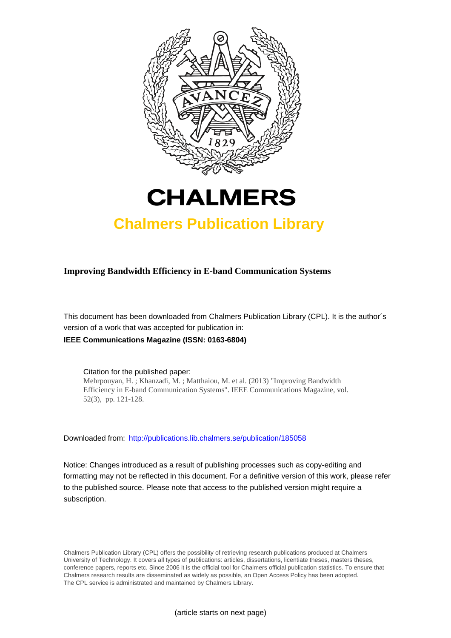



# **Chalmers Publication Library**

**Improving Bandwidth Efficiency in E-band Communication Systems**

This document has been downloaded from Chalmers Publication Library (CPL). It is the author´s version of a work that was accepted for publication in: **IEEE Communications Magazine (ISSN: 0163-6804)**

Citation for the published paper: Mehrpouyan, H. ; Khanzadi, M. ; Matthaiou, M. et al. (2013) "Improving Bandwidth Efficiency in E-band Communication Systems". IEEE Communications Magazine, vol. 52(3), pp. 121-128.

Downloaded from: <http://publications.lib.chalmers.se/publication/185058>

Notice: Changes introduced as a result of publishing processes such as copy-editing and formatting may not be reflected in this document. For a definitive version of this work, please refer to the published source. Please note that access to the published version might require a subscription.

Chalmers Publication Library (CPL) offers the possibility of retrieving research publications produced at Chalmers University of Technology. It covers all types of publications: articles, dissertations, licentiate theses, masters theses, conference papers, reports etc. Since 2006 it is the official tool for Chalmers official publication statistics. To ensure that Chalmers research results are disseminated as widely as possible, an Open Access Policy has been adopted. The CPL service is administrated and maintained by Chalmers Library.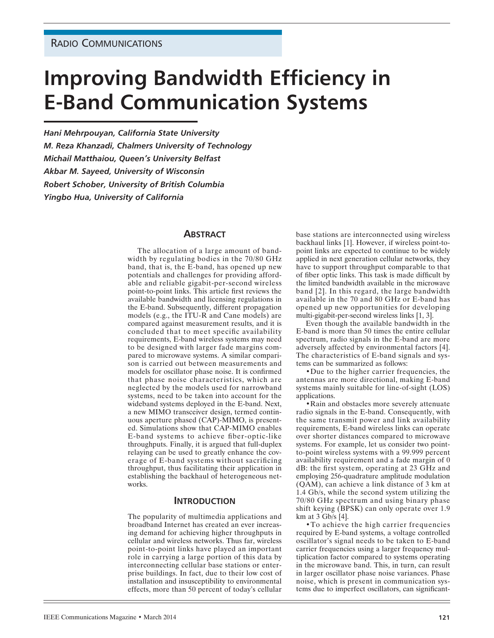# **Improving Bandwidth Efficiency in E-Band Communication Systems**

*Hani Mehrpouyan, California State University M. Reza Khanzadi, Chalmers University of Technology Michail Matthaiou, Queen's University Belfast Akbar M. Sayeed, University of Wisconsin Robert Schober, University of British Columbia Yingbo Hua, University of California*

### **ABSTRACT**

The allocation of a large amount of bandwidth by regulating bodies in the 70/80 GHz band, that is, the E-band, has opened up new potentials and challenges for providing affordable and reliable gigabit-per-second wireless point-to-point links. This article first reviews the available bandwidth and licensing regulations in the E-band. Subsequently, different propagation models (e.g., the ITU-R and Cane models) are compared against measurement results, and it is concluded that to meet specific availability requirements, E-band wireless systems may need to be designed with larger fade margins compared to microwave systems. A similar comparison is carried out between measurements and models for oscillator phase noise. It is confirmed that phase noise characteristics, which are neglected by the models used for narrowband systems, need to be taken into account for the wideband systems deployed in the E-band. Next, a new MIMO transceiver design, termed continuous aperture phased (CAP)-MIMO, is presented. Simulations show that CAP-MIMO enables E-band systems to achieve fiber-optic-like throughputs. Finally, it is argued that full-duplex relaying can be used to greatly enhance the coverage of E-band systems without sacrificing throughput, thus facilitating their application in establishing the backhaul of heterogeneous networks.

#### **INTRODUCTION**

The popularity of multimedia applications and broadband Internet has created an ever increasing demand for achieving higher throughputs in cellular and wireless networks. Thus far, wireless point-to-point links have played an important role in carrying a large portion of this data by interconnecting cellular base stations or enterprise buildings. In fact, due to their low cost of installation and insusceptibility to environmental effects, more than 50 percent of today's cellular

base stations are interconnected using wireless backhaul links [1]. However, if wireless point-topoint links are expected to continue to be widely applied in next generation cellular networks, they have to support throughput comparable to that of fiber optic links. This task is made difficult by the limited bandwidth available in the microwave band [2]. In this regard, the large bandwidth available in the 70 and 80 GHz or E-band has opened up new opportunities for developing multi-gigabit-per-second wireless links [1, 3].

Even though the available bandwidth in the E-band is more than 50 times the entire cellular spectrum, radio signals in the E-band are more adversely affected by environmental factors [4]. The characteristics of E-band signals and systems can be summarized as follows:

•Due to the higher carrier frequencies, the antennas are more directional, making E-band systems mainly suitable for line-of-sight (LOS) applications.

•Rain and obstacles more severely attenuate radio signals in the E-band. Consequently, with the same transmit power and link availability requirements, E-band wireless links can operate over shorter distances compared to microwave systems. For example, let us consider two pointto-point wireless systems with a 99.999 percent availability requirement and a fade margin of 0 dB: the first system, operating at 23 GHz and employing 256-quadrature amplitude modulation (QAM), can achieve a link distance of 3 km at 1.4 Gb/s, while the second system utilizing the 70/80 GHz spectrum and using binary phase shift keying (BPSK) can only operate over 1.9 km at 3 Gb/s [4].

•To achieve the high carrier frequencies required by E-band systems, a voltage controlled oscillator's signal needs to be taken to E-band carrier frequencies using a larger frequency multiplication factor compared to systems operating in the microwave band. This, in turn, can result in larger oscillator phase noise variances. Phase noise, which is present in communication systems due to imperfect oscillators, can significant-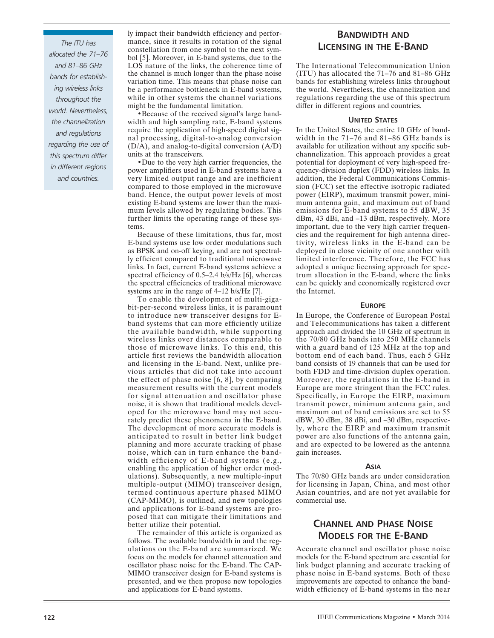*The ITU has allocated the 71–76 and 81–86 GHz bands for establishing wireless links throughout the world. Nevertheless, the channelization and regulations regarding the use of this spectrum differ in different regions and countries.*

ly impact their bandwidth efficiency and performance, since it results in rotation of the signal constellation from one symbol to the next symbol [5]. Moreover, in E-band systems, due to the LOS nature of the links, the coherence time of the channel is much longer than the phase noise variation time. This means that phase noise can be a performance bottleneck in E-band systems, while in other systems the channel variations might be the fundamental limitation.

•Because of the received signal's large bandwidth and high sampling rate, E-band systems require the application of high-speed digital signal processing, digital-to-analog conversion (D/A), and analog-to-digital conversion (A/D) units at the transceivers.

•Due to the very high carrier frequencies, the power amplifiers used in E-band systems have a very limited output range and are inefficient compared to those employed in the microwave band. Hence, the output power levels of most existing E-band systems are lower than the maximum levels allowed by regulating bodies. This further limits the operating range of these systems.

Because of these limitations, thus far, most E-band systems use low order modulations such as BPSK and on-off keying, and are not spectrally efficient compared to traditional microwave links. In fact, current E-band systems achieve a spectral efficiency of 0.5–2.4 b/s/Hz [6], whereas the spectral efficiencies of traditional microwave systems are in the range of 4–12 b/s/Hz [7].

To enable the development of multi-gigabit-per-second wireless links, it is paramount to introduce new transceiver designs for Eband systems that can more efficiently utilize the available bandwidth, while supporting wireless links over distances comparable to those of microwave links. To this end, this article first reviews the bandwidth allocation and licensing in the E-band. Next, unlike previous articles that did not take into account the effect of phase noise [6, 8], by comparing measurement results with the current models for signal attenuation and oscillator phase noise, it is shown that traditional models developed for the microwave band may not accurately predict these phenomena in the E-band. The development of more accurate models is anticipated to result in better link budget planning and more accurate tracking of phase noise, which can in turn enhance the bandwidth efficiency of E-band systems (e.g., enabling the application of higher order modulations). Subsequently, a new multiple-input multiple-output (MIMO) transceiver design, termed continuous aperture phased MIMO (CAP-MIMO), is outlined, and new topologies and applications for E-band systems are proposed that can mitigate their limitations and better utilize their potential.

The remainder of this article is organized as follows. The available bandwidth in and the regulations on the E-band are summarized. We focus on the models for channel attenuation and oscillator phase noise for the E-band. The CAP-MIMO transceiver design for E-band systems is presented, and we then propose new topologies and applications for E-band systems.

# **BANDWIDTH AND LICENSING IN THE E-BAND**

The International Telecommunication Union (ITU) has allocated the 71–76 and 81–86 GHz bands for establishing wireless links throughout the world. Nevertheless, the channelization and regulations regarding the use of this spectrum differ in different regions and countries.

#### **UNITED STATES**

In the United States, the entire 10 GHz of bandwidth in the 71–76 and 81–86 GHz bands is available for utilization without any specific subchannelization. This approach provides a great potential for deployment of very high-speed frequency-division duplex (FDD) wireless links. In addition, the Federal Communications Commission (FCC) set the effective isotropic radiated power (EIRP), maximum transmit power, minimum antenna gain, and maximum out of band emissions for E-band systems to 55 dBW, 35 dBm, 43 dBi, and –13 dBm, respectively. More important, due to the very high carrier frequencies and the requirement for high antenna directivity, wireless links in the E-band can be deployed in close vicinity of one another with limited interference. Therefore, the FCC has adopted a unique licensing approach for spectrum allocation in the E-band, where the links can be quickly and economically registered over the Internet.

#### **EUROPE**

In Europe, the Conference of European Postal and Telecommunications has taken a different approach and divided the 10 GHz of spectrum in the 70/80 GHz bands into 250 MHz channels with a guard band of 125 MHz at the top and bottom end of each band. Thus, each 5 GHz band consists of 19 channels that can be used for both FDD and time-division duplex operation. Moreover, the regulations in the E-band in Europe are more stringent than the FCC rules. Specifically, in Europe the EIRP, maximum transmit power, minimum antenna gain, and maximum out of band emissions are set to 55 dBW, 30 dBm, 38 dBi, and –30 dBm, respectively, where the EIRP and maximum transmit power are also functions of the antenna gain, and are expected to be lowered as the antenna gain increases.

#### **ASIA**

The 70/80 GHz bands are under consideration for licensing in Japan, China, and most other Asian countries, and are not yet available for commercial use.

# **CHANNEL AND PHASE NOISE MODELS FOR THE E-BAND**

Accurate channel and oscillator phase noise models for the E-band spectrum are essential for link budget planning and accurate tracking of phase noise in E-band systems. Both of these improvements are expected to enhance the bandwidth efficiency of E-band systems in the near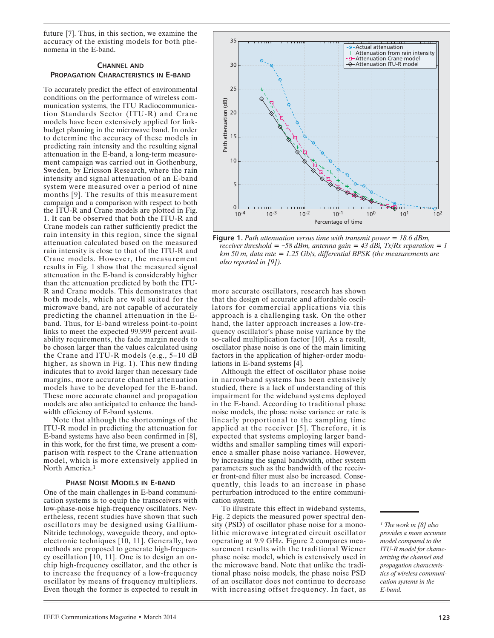future [7]. Thus, in this section, we examine the accuracy of the existing models for both phenomena in the E-band.

#### **CHANNEL AND PROPAGATION CHARACTERISTICS IN E-BAND**

To accurately predict the effect of environmental conditions on the performance of wireless communication systems, the ITU Radiocommunication Standards Sector (ITU-R) and Crane models have been extensively applied for linkbudget planning in the microwave band. In order to determine the accuracy of these models in predicting rain intensity and the resulting signal attenuation in the E-band, a long-term measurement campaign was carried out in Gothenburg, Sweden, by Ericsson Research, where the rain intensity and signal attenuation of an E-band system were measured over a period of nine months [9]. The results of this measurement campaign and a comparison with respect to both the ITU-R and Crane models are plotted in Fig. 1. It can be observed that both the ITU-R and Crane models can rather sufficiently predict the rain intensity in this region, since the signal attenuation calculated based on the measured rain intensity is close to that of the ITU-R and Crane models. However, the measurement results in Fig. 1 show that the measured signal attenuation in the E-band is considerably higher than the attenuation predicted by both the ITU-R and Crane models. This demonstrates that both models, which are well suited for the microwave band, are not capable of accurately predicting the channel attenuation in the Eband. Thus, for E-band wireless point-to-point links to meet the expected 99.999 percent availability requirements, the fade margin needs to be chosen larger than the values calculated using the Crane and ITU-R models (e.g., 5–10 dB higher, as shown in Fig. 1). This new finding indicates that to avoid larger than necessary fade margins, more accurate channel attenuation models have to be developed for the E-band. These more accurate channel and propagation models are also anticipated to enhance the bandwidth efficiency of E-band systems.

Note that although the shortcomings of the ITU-R model in predicting the attenuation for E-band systems have also been confirmed in [8], in this work, for the first time, we present a comparison with respect to the Crane attenuation model, which is more extensively applied in North America.1

#### **PHASE NOISE MODELS IN E-BAND**

One of the main challenges in E-band communication systems is to equip the transceivers with low-phase-noise high-frequency oscillators. Nevertheless, recent studies have shown that such oscillators may be designed using Gallium-Nitride technology, waveguide theory, and optoelectronic techniques [10, 11]. Generally, two methods are proposed to generate high-frequency oscillation [10, 11]. One is to design an onchip high-frequency oscillator, and the other is to increase the frequency of a low-frequency oscillator by means of frequency multipliers. Even though the former is expected to result in



**Figure 1.** *Path attenuation versus time with transmit power = 18.6 dBm, receiver threshold =* –*58 dBm, antenna gain = 43 dBi, Tx/Rx separation = 1 km 50 m, data rate = 1.25 Gb/s, differential BPSK (the measurements are also reported in [9]).*

more accurate oscillators, research has shown that the design of accurate and affordable oscillators for commercial applications via this approach is a challenging task. On the other hand, the latter approach increases a low-frequency oscillator's phase noise variance by the so-called multiplication factor [10]. As a result, oscillator phase noise is one of the main limiting factors in the application of higher-order modulations in E-band systems [4].

Although the effect of oscillator phase noise in narrowband systems has been extensively studied, there is a lack of understanding of this impairment for the wideband systems deployed in the E-band. According to traditional phase noise models, the phase noise variance or rate is linearly proportional to the sampling time applied at the receiver [5]. Therefore, it is expected that systems employing larger bandwidths and smaller sampling times will experience a smaller phase noise variance. However, by increasing the signal bandwidth, other system parameters such as the bandwidth of the receiver front-end filter must also be increased. Consequently, this leads to an increase in phase perturbation introduced to the entire communication system.

To illustrate this effect in wideband systems, Fig. 2 depicts the measured power spectral density (PSD) of oscillator phase noise for a monolithic microwave integrated circuit oscillator operating at 9.9 GHz. Figure 2 compares measurement results with the traditional Wiener phase noise model, which is extensively used in the microwave band. Note that unlike the traditional phase noise models, the phase noise PSD of an oscillator does not continue to decrease with increasing offset frequency. In fact, as

*<sup>1</sup> The work in [8] also provides a more accurate model compared to the ITU-R model for characterizing the channel and propagation characteristics of wireless communication systems in the E-band.*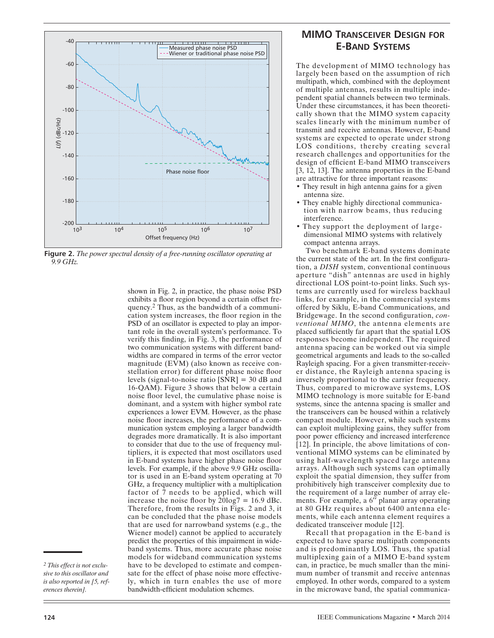

**Figure 2.** *The power spectral density of a free-running oscillator operating at 9.9 GHz.*

shown in Fig. 2, in practice, the phase noise PSD exhibits a floor region beyond a certain offset frequency.2 Thus, as the bandwidth of a communication system increases, the floor region in the PSD of an oscillator is expected to play an important role in the overall system's performance. To verify this finding, in Fig. 3, the performance of two communication systems with different bandwidths are compared in terms of the error vector magnitude (EVM) (also known as receive constellation error) for different phase noise floor levels (signal-to-noise ratio [SNR] = 30 dB and 16-QAM). Figure 3 shows that below a certain noise floor level, the cumulative phase noise is dominant, and a system with higher symbol rate experiences a lower EVM. However, as the phase noise floor increases, the performance of a communication system employing a larger bandwidth degrades more dramatically. It is also important to consider that due to the use of frequency multipliers, it is expected that most oscillators used in E-band systems have higher phase noise floor levels. For example, if the above 9.9 GHz oscillator is used in an E-band system operating at 70 GHz, a frequency multiplier with a multiplication factor of 7 needs to be applied, which will increase the noise floor by  $\overline{20}$ log7 = 16.9 dBc. Therefore, from the results in Figs. 2 and 3, it can be concluded that the phase noise models that are used for narrowband systems (e.g., the Wiener model) cannot be applied to accurately predict the properties of this impairment in wideband systems. Thus, more accurate phase noise models for wideband communication systems have to be developed to estimate and compensate for the effect of phase noise more effectively, which in turn enables the use of more bandwidth-efficient modulation schemes.

# **MIMO TRANSCEIVER DESIGN FOR E-BAND SYSTEMS**

The development of MIMO technology has largely been based on the assumption of rich multipath, which, combined with the deployment of multiple antennas, results in multiple independent spatial channels between two terminals. Under these circumstances, it has been theoretically shown that the MIMO system capacity scales linearly with the minimum number of transmit and receive antennas. However, E-band systems are expected to operate under strong LOS conditions, thereby creating several research challenges and opportunities for the design of efficient E-band MIMO transceivers [3, 12, 13]. The antenna properties in the E-band are attractive for three important reasons:

- They result in high antenna gains for a given antenna size.
- They enable highly directional communication with narrow beams, thus reducing interference.
- They support the deployment of largedimensional MIMO systems with relatively compact antenna arrays.

Two benchmark E-band systems dominate the current state of the art. In the first configuration, a *DISH* system, conventional continuous aperture "dish" antennas are used in highly directional LOS point-to-point links. Such systems are currently used for wireless backhaul links, for example, in the commercial systems offered by Siklu, E-band Communications, and Bridgewage. In the second configuration, *conventional MIMO*, the antenna elements are placed sufficiently far apart that the spatial LOS responses become independent. The required antenna spacing can be worked out via simple geometrical arguments and leads to the so-called Rayleigh spacing. For a given transmitter-receiver distance, the Rayleigh antenna spacing is inversely proportional to the carrier frequency. Thus, compared to microwave systems, LOS MIMO technology is more suitable for E-band systems, since the antenna spacing is smaller and the transceivers can be housed within a relatively compact module. However, while such systems can exploit multiplexing gains, they suffer from poor power efficiency and increased interference [12]. In principle, the above limitations of conventional MIMO systems can be eliminated by using half-wavelength spaced large antenna arrays. Although such systems can optimally exploit the spatial dimension, they suffer from prohibitively high transceiver complexity due to the requirement of a large number of array elements. For example, a 6<sup>"</sup> planar array operating at 80 GHz requires about 6400 antenna elements, while each antenna element requires a dedicated transceiver module [12].

Recall that propagation in the E-band is expected to have sparse multipath components and is predominantly LOS. Thus, the spatial multiplexing gain of a MIMO E-band system can, in practice, be much smaller than the minimum number of transmit and receive antennas employed. In other words, compared to a system in the microwave band, the spatial communica-

*<sup>2</sup> This effect is not exclusive to this oscillator and is also reported in [5, references therein].*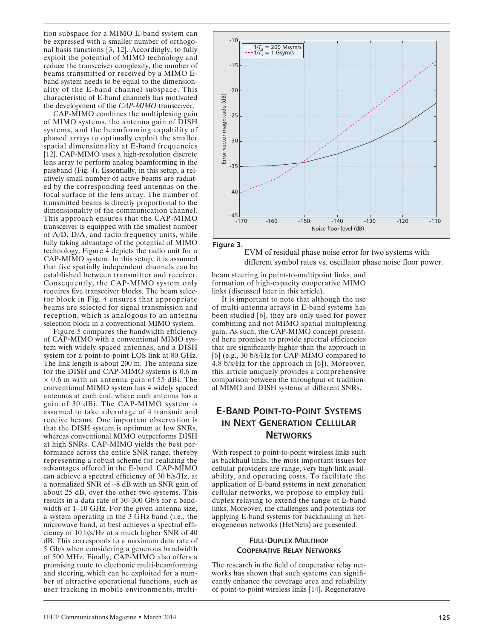tion subspace for a MIMO E-band system can be expressed with a smaller number of orthogonal basis functions [3, 12]. Accordingly, to fully exploit the potential of MIMO technology and reduce the transceiver complexity, the number of beams transmitted or received by a MIMO Eband system needs to be equal to the dimensionality of the E-band channel subspace. This characteristic of E-band channels has motivated the development of the *CAP-MIMO* transceiver.

CAP-MIMO combines the multiplexing gain of MIMO systems, the antenna gain of DISH systems, and the beamforming capability of phased arrays to optimally exploit the smaller spatial dimensionality at E-band frequencies [12]. CAP-MIMO uses a high-resolution discrete lens array to perform analog beamforming in the passband (Fig. 4). Essentially, in this setup, a relatively small number of active beams are radiated by the corresponding feed antennas on the focal surface of the lens array. The number of transmitted beams is directly proportional to the dimensionality of the communication channel. This approach ensures that the CAP-MIMO transceiver is equipped with the smallest number of A/D, D/A, and radio frequency units, while fully taking advantage of the potential of MIMO technology. Figure 4 depicts the radio unit for a CAP-MIMO system. In this setup, it is assumed that five spatially independent channels can be established between transmitter and receiver. Consequently, the CAP-MIMO system only requires five transceiver blocks. The beam selector block in Fig. 4 ensures that appropriate beams are selected for signal transmission and reception, which is analogous to an antenna selection block in a conventional MIMO system.

Figure 5 compares the bandwidth efficiency of CAP-MIMO with a conventional MIMO system with widely spaced antennas, and a DISH system for a point-to-point LOS link at 80 GHz. The link length is about 200 m. The antenna size for the DISH and CAP-MIMO systems is 0.6 m  $\times$  0.6 m with an antenna gain of 55 dBi. The conventional MIMO system has 4 widely spaced antennas at each end, where each antenna has a gain of 30 dBi. The CAP-MIMO system is assumed to take advantage of 4 transmit and receive beams. One important observation is that the DISH system is optimum at low SNRs, whereas conventional MIMO outperforms DISH at high SNRs. CAP-MIMO yields the best performance across the entire SNR range, thereby representing a robust scheme for realizing the advantages offered in the E-band. CAP-MIMO can achieve a spectral efficiency of 30 b/s/Hz, at a normalized SNR of –8 dB with an SNR gain of about 25 dB, over the other two systems. This results in a data rate of 30–300 Gb/s for a bandwidth of 1–10 GHz. For the given antenna size, a system operating in the 3 GHz band (i.e., the microwave band, at best achieves a spectral efficiency of 10 b/s/Hz at a much higher SNR of 40 dB. This corresponds to a maximum data rate of 5 Gb/s when considering a generous bandwidth of 500 MHz. Finally, CAP-MIMO also offers a promising route to electronic multi-beamforming and steering, which can be exploited for a number of attractive operational functions, such as user tracking in mobile environments, multi-





EVM of residual phase noise error for two systems with different symbol rates vs. oscillator phase noise floor power.

beam steering in point-to-multipoint links, and formation of high-capacity cooperative MIMO links (discussed later in this article).

It is important to note that although the use of multi-antenna arrays in E-band systems has been studied [6], they are only used for power combining and not MIMO spatial multiplexing gain. As such, the CAP-MIMO concept presented here promises to provide spectral efficiencies that are significantly higher than the approach in [6] (e.g., 30 b/s/Hz for CAP-MIMO compared to  $4.8$  b/s/Hz for the approach in [6]). Moreover, this article uniquely provides a comprehensive comparison between the throughput of traditional MIMO and DISH systems at different SNRs.

# **E-BAND POINT-TO-POINT SYSTEMS IN NEXT GENERATION CELLULAR NETWORKS**

With respect to point-to-point wireless links such as backhaul links, the most important issues for cellular providers are range, very high link availability, and operating costs. To facilitate the application of E-band systems in next generation cellular networks, we propose to employ fullduplex relaying to extend the range of E-band links. Moreover, the challenges and potentials for applying E-band systems for backhauling in heterogeneous networks (HetNets) are presented.

#### **FULL-DUPLEX MULTIHOP COOPERATIVE RELAY NETWORKS**

The research in the field of cooperative relay networks has shown that such systems can significantly enhance the coverage area and reliability of point-to-point wireless links [14]. Regenerative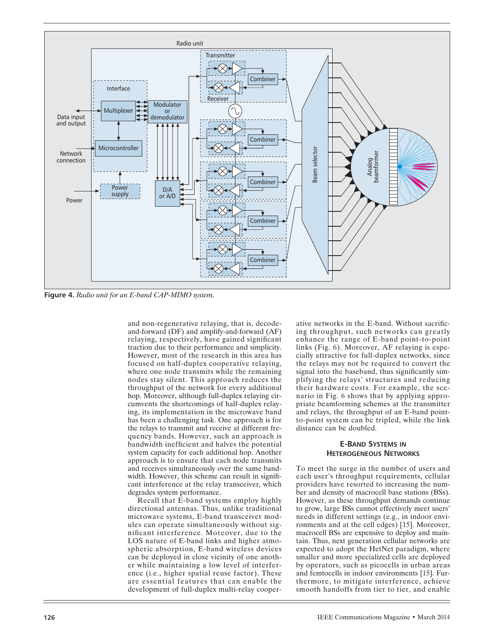

**Figure 4.** *Radio unit for an E-band CAP-MIMO system.*

and non-regenerative relaying, that is, decodeand-forward (DF) and amplify-and-forward (AF) relaying, respectively, have gained significant traction due to their performance and simplicity. However, most of the research in this area has focused on half-duplex cooperative relaying, where one node transmits while the remaining nodes stay silent. This approach reduces the throughput of the network for every additional hop. Moreover, although full-duplex relaying circumvents the shortcomings of half-duplex relaying, its implementation in the microwave band has been a challenging task. One approach is for the relays to transmit and receive at different frequency bands. However, such an approach is bandwidth inefficient and halves the potential system capacity for each additional hop. Another approach is to ensure that each node transmits and receives simultaneously over the same bandwidth. However, this scheme can result in significant interference at the relay transceiver, which degrades system performance.

Recall that E-band systems employ highly directional antennas. Thus, unlike traditional microwave systems, E-band transceiver modules can operate simultaneously without significant interference. Moreover, due to the LOS nature of E-band links and higher atmospheric absorption, E-band wireless devices can be deployed in close vicinity of one another while maintaining a low level of interference (i.e., higher spatial reuse factor). These are essential features that can enable the development of full-duplex multi-relay cooperative networks in the E-band. Without sacrificing throughput, such networks can greatly enhance the range of E-band point-to-point links (Fig. 6). Moreover, AF relaying is especially attractive for full-duplex networks, since the relays may not be required to convert the signal into the baseband, thus significantly simplifying the relays' structures and reducing their hardware costs. For example, the scenario in Fig. 6 shows that by applying appropriate beamforming schemes at the transmitter and relays, the throughput of an E-band pointto-point system can be tripled, while the link distance can be doubled.

#### **E-BAND SYSTEMS IN HETEROGENEOUS NETWORKS**

To meet the surge in the number of users and each user's throughput requirements, cellular providers have resorted to increasing the number and density of macrocell base stations (BSs). However, as these throughput demands continue to grow, large BSs cannot effectively meet users' needs in different settings (e.g., in indoor environments and at the cell edges) [15]. Moreover, macrocell BSs are expensive to deploy and maintain. Thus, next generation cellular networks are expected to adopt the HetNet paradigm, where smaller and more specialized cells are deployed by operators, such as picocells in urban areas and femtocells in indoor environments [15]. Furthermore, to mitigate interference, achieve smooth handoffs from tier to tier, and enable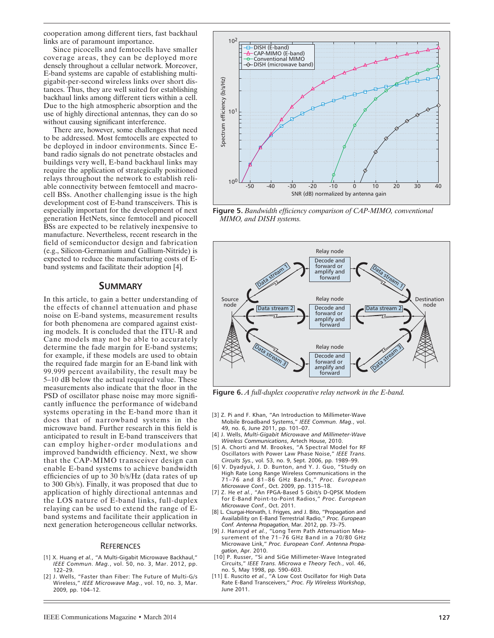cooperation among different tiers, fast backhaul links are of paramount importance.

Since picocells and femtocells have smaller coverage areas, they can be deployed more densely throughout a cellular network. Moreover, E-band systems are capable of establishing multigigabit-per-second wireless links over short distances. Thus, they are well suited for establishing backhaul links among different tiers within a cell. Due to the high atmospheric absorption and the use of highly directional antennas, they can do so without causing significant interference.

There are, however, some challenges that need to be addressed. Most femtocells are expected to be deployed in indoor environments. Since Eband radio signals do not penetrate obstacles and buildings very well, E-band backhaul links may require the application of strategically positioned relays throughout the network to establish reliable connectivity between femtocell and macrocell BSs. Another challenging issue is the high development cost of E-band transceivers. This is especially important for the development of next generation HetNets, since femtocell and picocell BSs are expected to be relatively inexpensive to manufacture. Nevertheless, recent research in the field of semiconductor design and fabrication (e.g., Silicon-Germanium and Gallium-Nitride) is expected to reduce the manufacturing costs of Eband systems and facilitate their adoption [4].

#### **SUMMARY**

In this article, to gain a better understanding of the effects of channel attenuation and phase noise on E-band systems, measurement results for both phenomena are compared against existing models. It is concluded that the ITU-R and Cane models may not be able to accurately determine the fade margin for E-band systems; for example, if these models are used to obtain the required fade margin for an E-band link with 99.999 percent availability, the result may be 5–10 dB below the actual required value. These measurements also indicate that the floor in the PSD of oscillator phase noise may more significantly influence the performance of wideband systems operating in the E-band more than it does that of narrowband systems in the microwave band. Further research in this field is anticipated to result in E-band transceivers that can employ higher-order modulations and improved bandwidth efficiency. Next, we show that the CAP-MIMO transceiver design can enable E-band systems to achieve bandwidth efficiencies of up to 30 b/s/Hz (data rates of up to 300 Gb/s). Finally, it was proposed that due to application of highly directional antennas and the LOS nature of E-band links, full-duplex relaying can be used to extend the range of Eband systems and facilitate their application in next generation heterogeneous cellular networks.

#### **REFERENCES**

- [1] X. Huang *et al.*, "A Multi-Gigabit Microwave Backhaul," *IEEE Commun. Mag.*, vol. 50, no. 3, Mar. 2012, pp. 122–29.
- [2] J. Wells, "Faster than Fiber: The Future of Multi-G/s Wireless," *IEEE Microwave Mag.*, vol. 10, no. 3, Mar. 2009, pp. 104–12.



**Figure 5.** *Bandwidth efficiency comparison of CAP-MIMO, conventional MIMO, and DISH systems.*



**Figure 6.** *A full-duplex cooperative relay network in the E-band.*

- [3] Z. Pi and F. Khan, "An Introduction to Millimeter-Wave Mobile Broadband Systems," *IEEE Commun. Mag.*, vol. 49, no. 6, June 2011, pp. 101–07.
- [4] J. Wells, *Multi-Gigabit Microwave and Millimeter-Wave Wireless Communications*, Artech House, 2010.
- [5] A. Chorti and M. Brookes, "A Spectral Model for RF Oscillators with Power Law Phase Noise," *IEEE Trans. Circuits Sys.*, vol. 53, no. 9, Sept. 2006, pp. 1989–99.
- [6] V. Dyadyuk, J. D. Bunton, and Y. J. Guo, "Study on High Rate Long Range Wireless Communications in the 71–76 and 81–86 GHz Bands," *Proc. European Microwave Conf.*, Oct. 2009, pp. 1315–18.
- [7] Z. He *et al.*, "An FPGA-Based 5 Gbit/s D-QPSK Modem for E-Band Point-to-Point Radios," *Proc. European Microwave Conf.*, Oct. 2011.
- [8] L. Csurgai-Horvath, I. Frigyes, and J. Bito, "Propagation and Availability on E-Band Terrestrial Radio," *Proc. European Conf. Antenna Propagation*, Mar. 2012, pp. 73–75.
- [9] J. Hansryd *et al.*, "Long Term Path Attenuation Measurement of the 71–76 GHz Band in a 70/80 GHz Microwave Link," *Proc. European Conf. Antenna Propagation*, Apr. 2010.
- [10] P. Russer, "Si and SiGe Millimeter-Wave Integrated Circuits," *IEEE Trans. Microwa e Theory Tech.*, vol. 46,
- no. 5, May 1998, pp. 590–603. [11] E. Ruscito *et al.*, "A Low Cost Oscillator for High Data Rate E-Band Transceivers," *Proc. Fly Wireless Workshop*, June 2011.